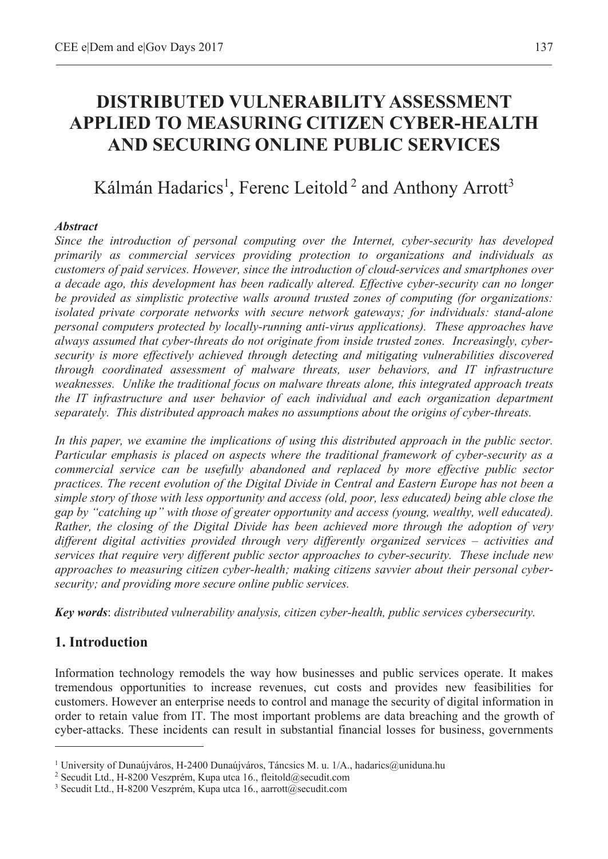# **DISTRIBUTED VULNERABILITY ASSESSMENT APPLIED TO MEASURING CITIZEN CYBER-HEALTH AND SECURING ONLINE PUBLIC SERVICES**

# Kálmán Hadarics<sup>1</sup>, Ferenc Leitold<sup>2</sup> and Anthony Arrott<sup>3</sup>

#### *Abstract*

*Since the introduction of personal computing over the Internet, cyber-security has developed primarily as commercial services providing protection to organizations and individuals as customers of paid services. However, since the introduction of cloud-services and smartphones over a decade ago, this development has been radically altered. Effective cyber-security can no longer be provided as simplistic protective walls around trusted zones of computing (for organizations: isolated private corporate networks with secure network gateways; for individuals: stand-alone personal computers protected by locally-running anti-virus applications). These approaches have always assumed that cyber-threats do not originate from inside trusted zones. Increasingly, cybersecurity is more effectively achieved through detecting and mitigating vulnerabilities discovered through coordinated assessment of malware threats, user behaviors, and IT infrastructure weaknesses. Unlike the traditional focus on malware threats alone, this integrated approach treats the IT infrastructure and user behavior of each individual and each organization department separately. This distributed approach makes no assumptions about the origins of cyber-threats.* 

In this paper, we examine the implications of using this distributed approach in the public sector. *Particular emphasis is placed on aspects where the traditional framework of cyber-security as a commercial service can be usefully abandoned and replaced by more effective public sector practices. The recent evolution of the Digital Divide in Central and Eastern Europe has not been a simple story of those with less opportunity and access (old, poor, less educated) being able close the gap by "catching up" with those of greater opportunity and access (young, wealthy, well educated). Rather, the closing of the Digital Divide has been achieved more through the adoption of very different digital activities provided through very differently organized services – activities and services that require very different public sector approaches to cyber-security. These include new approaches to measuring citizen cyber-health; making citizens savvier about their personal cybersecurity; and providing more secure online public services.* 

*Key words*: *distributed vulnerability analysis, citizen cyber-health, public services cybersecurity.*

## **1. Introduction**

 $\overline{a}$ 

Information technology remodels the way how businesses and public services operate. It makes tremendous opportunities to increase revenues, cut costs and provides new feasibilities for customers. However an enterprise needs to control and manage the security of digital information in order to retain value from IT. The most important problems are data breaching and the growth of cyber-attacks. These incidents can result in substantial financial losses for business, governments

<sup>&</sup>lt;sup>1</sup> University of Dunaújváros, H-2400 Dunaújváros, Táncsics M. u. 1/A., hadarics@uniduna.hu<br><sup>2</sup> Secudit I td. H-8200 Veszprém. Kuna utca 16. fleitold@secudit.com

<sup>&</sup>lt;sup>2</sup> Secudit Ltd., H-8200 Veszprém, Kupa utca 16., fleitold@secudit.com

Secudit Ltd., H-8200 Veszprém, Kupa utca 16., aarrott@secudit.com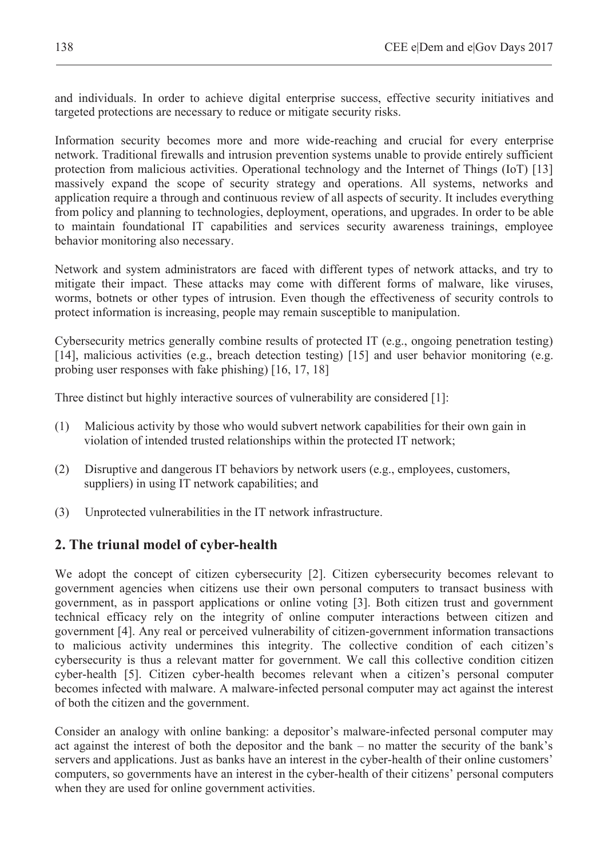and individuals. In order to achieve digital enterprise success, effective security initiatives and targeted protections are necessary to reduce or mitigate security risks.

Information security becomes more and more wide-reaching and crucial for every enterprise network. Traditional firewalls and intrusion prevention systems unable to provide entirely sufficient protection from malicious activities. Operational technology and the Internet of Things (IoT) [13] massively expand the scope of security strategy and operations. All systems, networks and application require a through and continuous review of all aspects of security. It includes everything from policy and planning to technologies, deployment, operations, and upgrades. In order to be able to maintain foundational IT capabilities and services security awareness trainings, employee behavior monitoring also necessary.

Network and system administrators are faced with different types of network attacks, and try to mitigate their impact. These attacks may come with different forms of malware, like viruses, worms, botnets or other types of intrusion. Even though the effectiveness of security controls to protect information is increasing, people may remain susceptible to manipulation.

Cybersecurity metrics generally combine results of protected IT (e.g., ongoing penetration testing) [14], malicious activities (e.g., breach detection testing) [15] and user behavior monitoring (e.g. probing user responses with fake phishing) [16, 17, 18]

Three distinct but highly interactive sources of vulnerability are considered [1]:

- (1) Malicious activity by those who would subvert network capabilities for their own gain in violation of intended trusted relationships within the protected IT network;
- (2) Disruptive and dangerous IT behaviors by network users (e.g., employees, customers, suppliers) in using IT network capabilities; and
- (3) Unprotected vulnerabilities in the IT network infrastructure.

### **2. The triunal model of cyber-health**

We adopt the concept of citizen cybersecurity [2]. Citizen cybersecurity becomes relevant to government agencies when citizens use their own personal computers to transact business with government, as in passport applications or online voting [3]. Both citizen trust and government technical efficacy rely on the integrity of online computer interactions between citizen and government [4]. Any real or perceived vulnerability of citizen-government information transactions to malicious activity undermines this integrity. The collective condition of each citizen's cybersecurity is thus a relevant matter for government. We call this collective condition citizen cyber-health [5]. Citizen cyber-health becomes relevant when a citizen's personal computer becomes infected with malware. A malware-infected personal computer may act against the interest of both the citizen and the government.

Consider an analogy with online banking: a depositor's malware-infected personal computer may act against the interest of both the depositor and the bank – no matter the security of the bank's servers and applications. Just as banks have an interest in the cyber-health of their online customers' computers, so governments have an interest in the cyber-health of their citizens' personal computers when they are used for online government activities.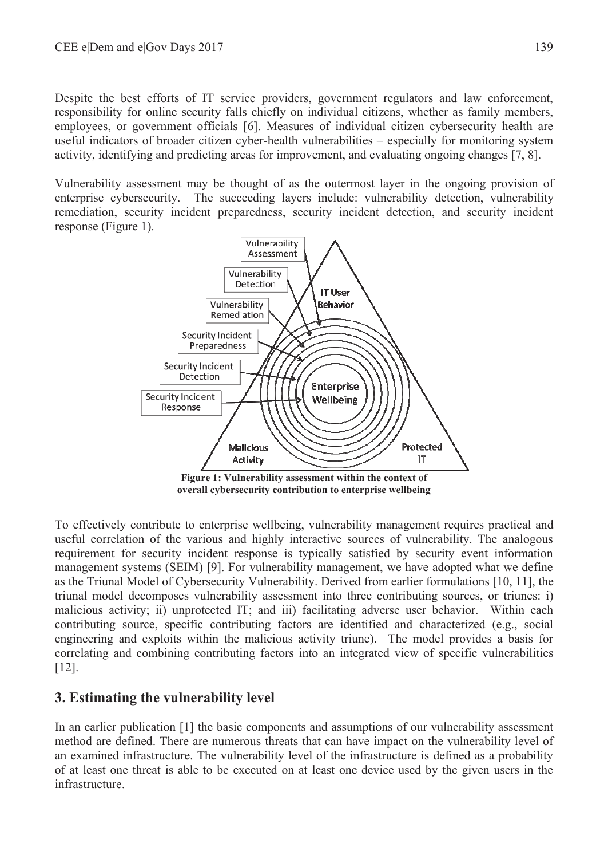Despite the best efforts of IT service providers, government regulators and law enforcement, responsibility for online security falls chiefly on individual citizens, whether as family members, employees, or government officials [6]. Measures of individual citizen cybersecurity health are useful indicators of broader citizen cyber-health vulnerabilities – especially for monitoring system activity, identifying and predicting areas for improvement, and evaluating ongoing changes [7, 8].

Vulnerability assessment may be thought of as the outermost layer in the ongoing provision of enterprise cybersecurity. The succeeding layers include: vulnerability detection, vulnerability remediation, security incident preparedness, security incident detection, and security incident response (Figure 1).



To effectively contribute to enterprise wellbeing, vulnerability management requires practical and useful correlation of the various and highly interactive sources of vulnerability. The analogous requirement for security incident response is typically satisfied by security event information management systems (SEIM) [9]. For vulnerability management, we have adopted what we define as the Triunal Model of Cybersecurity Vulnerability. Derived from earlier formulations [10, 11], the triunal model decomposes vulnerability assessment into three contributing sources, or triunes: i) malicious activity; ii) unprotected IT; and iii) facilitating adverse user behavior. Within each contributing source, specific contributing factors are identified and characterized (e.g., social engineering and exploits within the malicious activity triune). The model provides a basis for correlating and combining contributing factors into an integrated view of specific vulnerabilities [12].

## **3. Estimating the vulnerability level**

In an earlier publication [1] the basic components and assumptions of our vulnerability assessment method are defined. There are numerous threats that can have impact on the vulnerability level of an examined infrastructure. The vulnerability level of the infrastructure is defined as a probability of at least one threat is able to be executed on at least one device used by the given users in the infrastructure.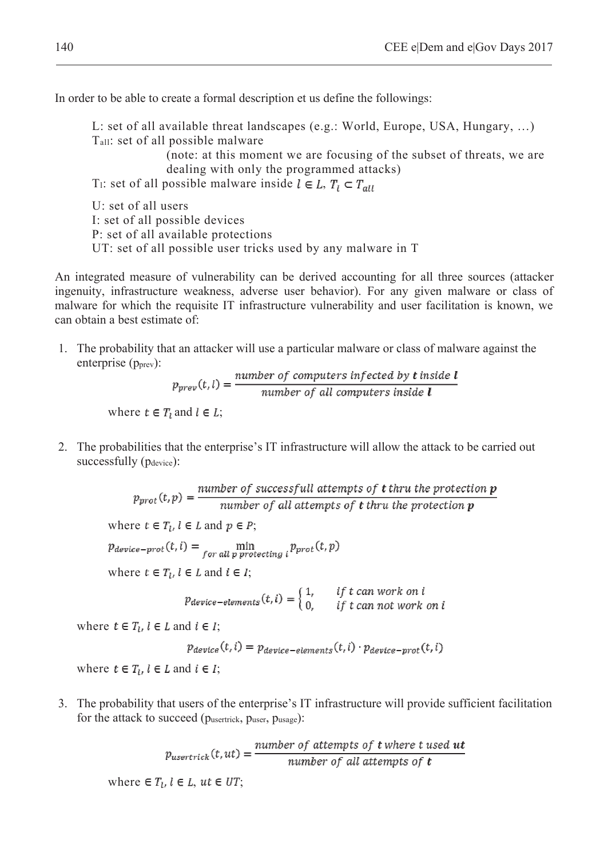In order to be able to create a formal description et us define the followings:

L: set of all available threat landscapes (e.g.: World, Europe, USA, Hungary, …) Tall: set of all possible malware

> (note: at this moment we are focusing of the subset of threats, we are dealing with only the programmed attacks)

T<sub>1</sub>: set of all possible malware inside  $l \in L$ ,  $T_l \subset T_{all}$ 

U: set of all users I: set of all possible devices P: set of all available protections UT: set of all possible user tricks used by any malware in T

An integrated measure of vulnerability can be derived accounting for all three sources (attacker ingenuity, infrastructure weakness, adverse user behavior). For any given malware or class of malware for which the requisite IT infrastructure vulnerability and user facilitation is known, we can obtain a best estimate of:

1. The probability that an attacker will use a particular malware or class of malware against the enterprise (pprev):

 $p_{prev}(t, l) = \frac{number\ of\ computers\ infected\ by\ t\ inside\ l}{number\ of\ all\ computers\ inside\ l}$ 

where  $t \in T_l$  and  $l \in L$ ;

2. The probabilities that the enterprise's IT infrastructure will allow the attack to be carried out successfully (pdevice):

> $p_{prot}(t, p) = \frac{number\ of\ successful\ attempts\ of\ t\ thru\ the\ protection\ p}{number\ of\ all\ attempts\ of\ t\ thru\ the\ protection\ p}$ where  $t \in T_l$ ,  $l \in L$  and  $p \in P$ ;  $p_{device-prot}(t, i) = \min_{for all p~protecting i} p_{prot}(t, p)$

where  $t \in T_l$ ,  $l \in L$  and  $i \in I$ ;

Pdevice-elements  $(t, i) = \begin{cases} 1, & if t can work on i \\ 0, & if t can not work on i \end{cases}$ 

where  $t \in T_l$ ,  $l \in L$  and  $i \in I$ ;

 $p_{device}(t, i) = p_{device-elements}(t, i) \cdot p_{device-prot}(t, i)$ 

where  $t \in T_i$ ,  $l \in L$  and  $i \in I$ ;

3. The probability that users of the enterprise's IT infrastructure will provide sufficient facilitation for the attack to succeed (pusertrick, puser, pusage):

$$
p_{user trick}(t, ut) = \frac{number\ of\ attempts\ of\ t\ where\ t\ used\ ut}{number\ of\ all\ attempts\ of\ t}
$$

where  $\in T_l$ ,  $l \in L$ ,  $ut \in UT$ ;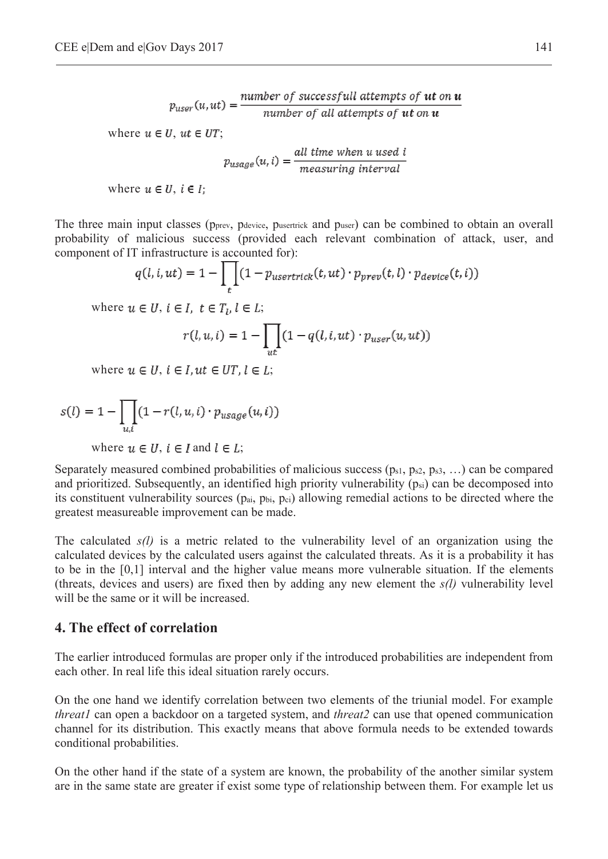$p_{user}(u, ut) = \frac{number\ of\ successful\ attempts\ of\ ut\ on\ u}{number\ of\ all\ attempts\ of\ ut\ on\ u}$ 

where  $u \in U$ ,  $ut \in UT$ ;

$$
p_{usage}(u,i) = \frac{all\ time\ when\ u\ used\ i}{measuring\ interval}
$$

where  $u \in U$ ,  $i \in I$ ;

The three main input classes (pprev, pdevice, pusertrick and puser) can be combined to obtain an overall probability of malicious success (provided each relevant combination of attack, user, and component of IT infrastructure is accounted for):

$$
q(l, i, ut) = 1 - \prod_t (1 - p_{usertrick}(t, ut) \cdot p_{prev}(t, l) \cdot p_{device}(t, i))
$$

where  $u \in U$ ,  $i \in I$ ,  $t \in T_l$ ,  $l \in L$ ;

$$
r(l, u, i) = 1 - \prod_{ut} (1 - q(l, i, ut) \cdot p_{user}(u, ut))
$$

where  $u \in U$ ,  $i \in I$ ,  $ut \in UT$ ,  $l \in L$ ;

$$
s(l) = 1 - \prod_{u,i} (1 - r(l,u,i) \cdot p_{usage}(u,i))
$$

where  $u \in U$ ,  $i \in I$  and  $l \in L$ ;

Separately measured combined probabilities of malicious success  $(p_{s1}, p_{s2}, p_{s3}, ...)$  can be compared and prioritized. Subsequently, an identified high priority vulnerability  $(p_{si})$  can be decomposed into its constituent vulnerability sources ( $p_{ai}$ ,  $p_{bi}$ ,  $p_{ci}$ ) allowing remedial actions to be directed where the greatest measureable improvement can be made.

The calculated *s(l)* is a metric related to the vulnerability level of an organization using the calculated devices by the calculated users against the calculated threats. As it is a probability it has to be in the [0,1] interval and the higher value means more vulnerable situation. If the elements (threats, devices and users) are fixed then by adding any new element the *s(l)* vulnerability level will be the same or it will be increased.

#### **4. The effect of correlation**

The earlier introduced formulas are proper only if the introduced probabilities are independent from each other. In real life this ideal situation rarely occurs.

On the one hand we identify correlation between two elements of the triunial model. For example *threat1* can open a backdoor on a targeted system, and *threat2* can use that opened communication channel for its distribution. This exactly means that above formula needs to be extended towards conditional probabilities.

On the other hand if the state of a system are known, the probability of the another similar system are in the same state are greater if exist some type of relationship between them. For example let us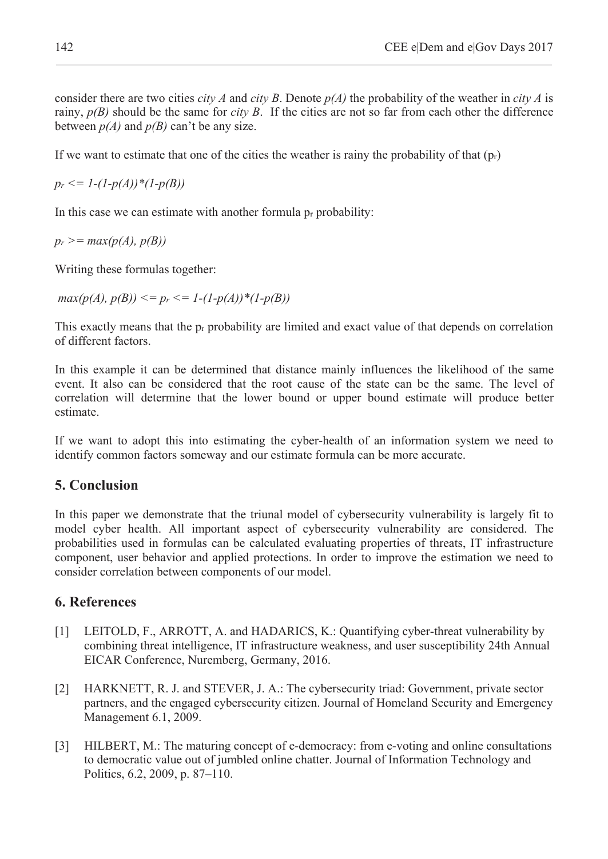consider there are two cities *city A* and *city B*. Denote *p(A)* the probability of the weather in *city A* is rainy,  $p(B)$  should be the same for *city B*. If the cities are not so far from each other the difference between  $p(A)$  and  $p(B)$  can't be any size.

If we want to estimate that one of the cities the weather is rainy the probability of that  $(p<sub>r</sub>)$ 

 $p_r \leq 1 - (1 - p(A))^*(1 - p(B))$ 

In this case we can estimate with another formula  $p_r$  probability:

 $p_r$  > = max(p(A), p(B))

Writing these formulas together:

 $max(p(A), p(B)) \leq p_r \leq 1-(1-p(A))^*(1-p(B))$ 

This exactly means that the p<sub>r</sub> probability are limited and exact value of that depends on correlation of different factors.

In this example it can be determined that distance mainly influences the likelihood of the same event. It also can be considered that the root cause of the state can be the same. The level of correlation will determine that the lower bound or upper bound estimate will produce better estimate.

If we want to adopt this into estimating the cyber-health of an information system we need to identify common factors someway and our estimate formula can be more accurate.

### **5. Conclusion**

In this paper we demonstrate that the triunal model of cybersecurity vulnerability is largely fit to model cyber health. All important aspect of cybersecurity vulnerability are considered. The probabilities used in formulas can be calculated evaluating properties of threats, IT infrastructure component, user behavior and applied protections. In order to improve the estimation we need to consider correlation between components of our model.

### **6. References**

- [1] LEITOLD, F., ARROTT, A. and HADARICS, K.: Quantifying cyber-threat vulnerability by combining threat intelligence, IT infrastructure weakness, and user susceptibility 24th Annual EICAR Conference, Nuremberg, Germany, 2016.
- [2] HARKNETT, R. J. and STEVER, J. A.: The cybersecurity triad: Government, private sector partners, and the engaged cybersecurity citizen. Journal of Homeland Security and Emergency Management 6.1, 2009.
- [3] HILBERT, M.: The maturing concept of e-democracy: from e-voting and online consultations to democratic value out of jumbled online chatter. Journal of Information Technology and Politics, 6.2, 2009, p. 87–110.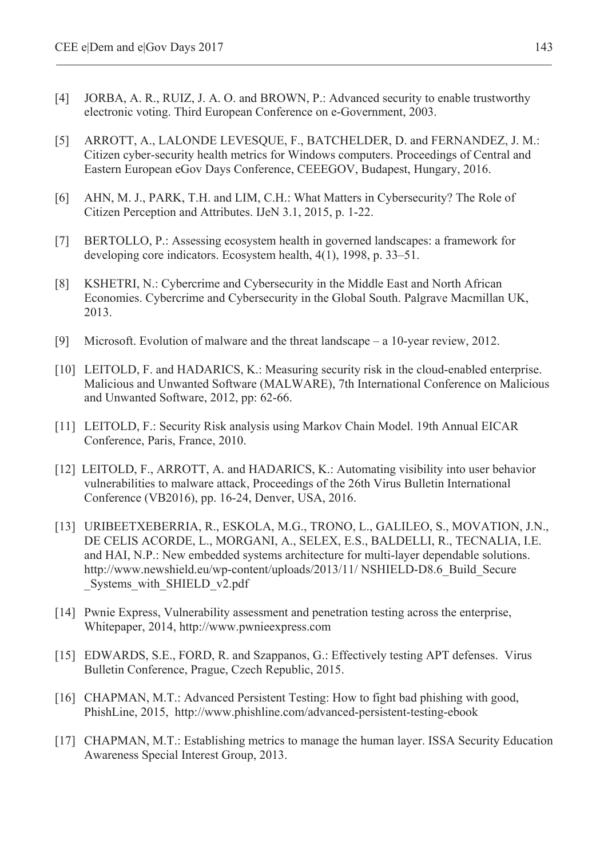- [4] JORBA, A. R., RUIZ, J. A. O. and BROWN, P.: Advanced security to enable trustworthy electronic voting. Third European Conference on e-Government, 2003.
- [5] ARROTT, A., LALONDE LEVESQUE, F., BATCHELDER, D. and FERNANDEZ, J. M.: Citizen cyber-security health metrics for Windows computers. Proceedings of Central and Eastern European eGov Days Conference, CEEEGOV, Budapest, Hungary, 2016.
- [6] AHN, M. J., PARK, T.H. and LIM, C.H.: What Matters in Cybersecurity? The Role of Citizen Perception and Attributes. IJeN 3.1, 2015, p. 1-22.
- [7] BERTOLLO, P.: Assessing ecosystem health in governed landscapes: a framework for developing core indicators. Ecosystem health, 4(1), 1998, p. 33–51.
- [8] KSHETRI, N.: Cybercrime and Cybersecurity in the Middle East and North African Economies. Cybercrime and Cybersecurity in the Global South. Palgrave Macmillan UK, 2013.
- [9] Microsoft. Evolution of malware and the threat landscape a 10-year review, 2012.
- [10] LEITOLD, F. and HADARICS, K.: Measuring security risk in the cloud-enabled enterprise. Malicious and Unwanted Software (MALWARE), 7th International Conference on Malicious and Unwanted Software, 2012, pp: 62-66.
- [11] LEITOLD, F.: Security Risk analysis using Markov Chain Model. 19th Annual EICAR Conference, Paris, France, 2010.
- [12] LEITOLD, F., ARROTT, A. and HADARICS, K.: Automating visibility into user behavior vulnerabilities to malware attack, Proceedings of the 26th Virus Bulletin International Conference (VB2016), pp. 16-24, Denver, USA, 2016.
- [13] URIBEETXEBERRIA, R., ESKOLA, M.G., TRONO, L., GALILEO, S., MOVATION, J.N., DE CELIS ACORDE, L., MORGANI, A., SELEX, E.S., BALDELLI, R., TECNALIA, I.E. and HAI, N.P.: New embedded systems architecture for multi-layer dependable solutions. http://www.newshield.eu/wp-content/uploads/2013/11/ NSHIELD-D8.6\_Build\_Secure Systems\_with\_SHIELD\_v2.pdf
- [14] Pwnie Express, Vulnerability assessment and penetration testing across the enterprise, Whitepaper, 2014, http://www.pwnieexpress.com
- [15] EDWARDS, S.E., FORD, R. and Szappanos, G.: Effectively testing APT defenses. Virus Bulletin Conference, Prague, Czech Republic, 2015.
- [16] CHAPMAN, M.T.: Advanced Persistent Testing: How to fight bad phishing with good, PhishLine, 2015, http://www.phishline.com/advanced-persistent-testing-ebook
- [17] CHAPMAN, M.T.: Establishing metrics to manage the human layer. ISSA Security Education Awareness Special Interest Group, 2013.